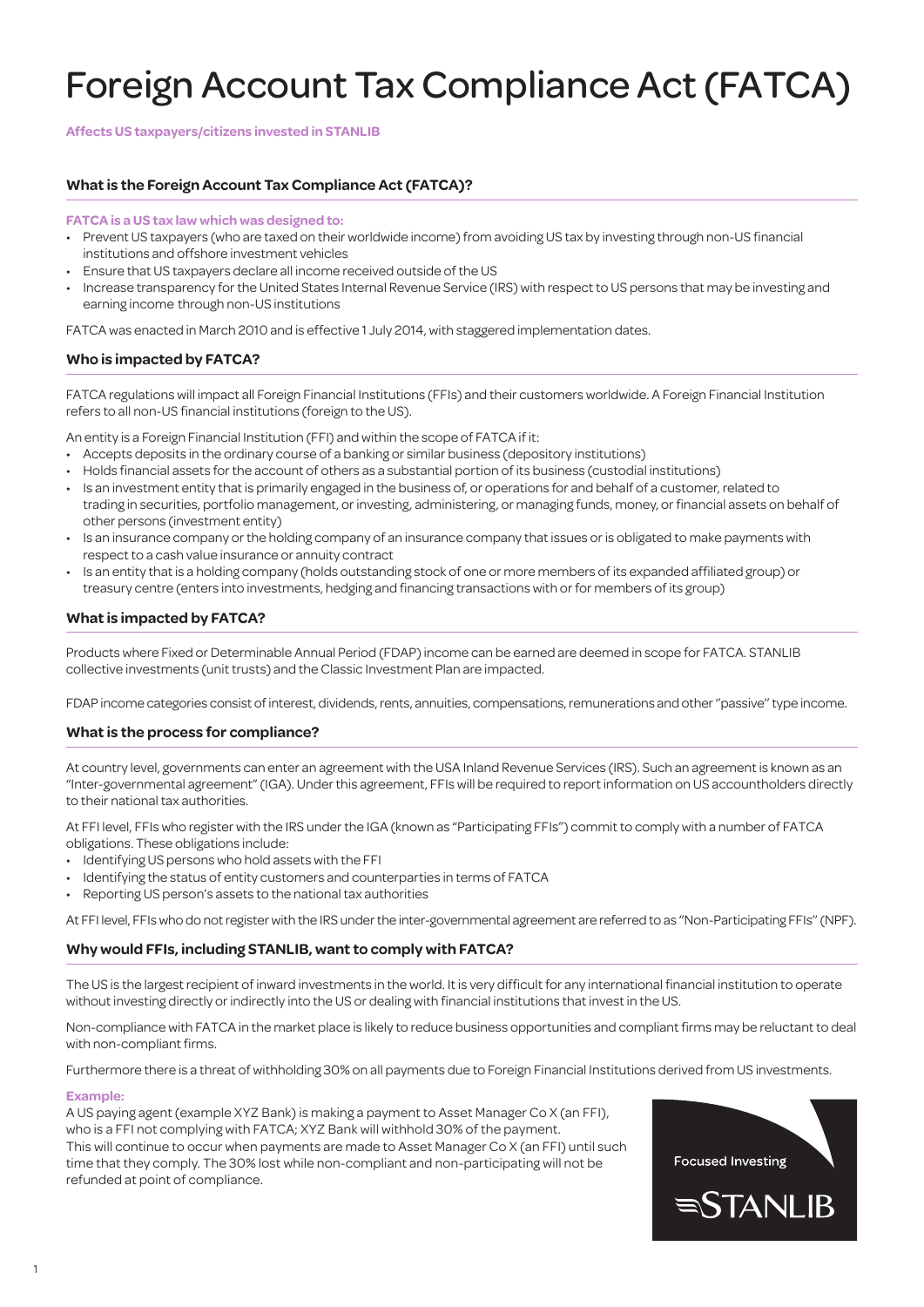# Foreign Account Tax Compliance Act (FATCA)

**Affects US taxpayers/citizens invested in STANLIB**

# **What is the Foreign Account Tax Compliance Act (FATCA)?**

#### **FATCA is a US tax law which was designed to:**

- Prevent US taxpayers (who are taxed on their worldwide income) from avoiding US tax by investing through non-US financial institutions and offshore investment vehicles
- Ensure that US taxpayers declare all income received outside of the US
- Increase transparency for the United States Internal Revenue Service (IRS) with respect to US persons that may be investing and earning income through non-US institutions

FATCA was enacted in March 2010 and is effective 1 July 2014, with staggered implementation dates.

# **Who is impacted by FATCA?**

FATCA regulations will impact all Foreign Financial Institutions (FFIs) and their customers worldwide. A Foreign Financial Institution refers to all non-US financial institutions (foreign to the US).

An entity is a Foreign Financial Institution (FFI) and within the scope of FATCA if it:

- • Accepts deposits in the ordinary course of a banking or similar business (depository institutions)
- • Holds financial assets forthe account of others as a substantial portion of its business (custodial institutions)
- Is an investment entity that is primarily engaged in the business of, or operations for and behalf of a customer, related to trading in securities, portfolio management, or investing, administering, or managing funds, money, or financial assets on behalf of other persons (investment entity)
- Is an insurance company or the holding company of an insurance company that issues or is obligated to make payments with respect to a cash value insurance or annuity contract
- Is an entity that is a holding company (holds outstanding stock of one or more members of its expanded affiliated group) or treasury centre (enters into investments, hedging and financing transactions with or for members of its group)

#### **What is impacted by FATCA?**

Products where Fixed or Determinable Annual Period (FDAP) income can be earned are deemed in scope for FATCA. STANLIB collective investments (unit trusts) and the Classic Investment Plan are impacted.

FDAP income categories consist of interest, dividends, rents, annuities, compensations, remunerations and other "passive" type income.

#### **What is the process for compliance?**

At country level, governments can enter an agreement with the USA Inland Revenue Services (IRS). Such an agreementis known as an "Inter-governmental agreement" (IGA). Under this agreement, FFIs will be required to report information on US accountholders directly to their national tax authorities.

At FFI level, FFIs who register with the IRS underthe IGA (known as "Participating FFIs") committo comply with a number of FATCA obligations. These obligations include:

- • Identifying US persons who hold assets with the FFI
- Identifying the status of entity customers and counterparties in terms of FATCA
- Reporting US person's assets to the national tax authorities

At FFI level, FFIswho do notregisterwith the IRS underthe inter-governmental agreement are referred to as ''Non-Participating FFIs''(NPF).

#### **Why would FFIs, including STANLIB, want to comply with FATCA?**

The US is the largest recipient of inward investments in the world. It is very difficult for any international financial institution to operate without investing directly or indirectly into the US or dealing with financial institutions that invest in the US.

Non-compliance with FATCA in the market place is likely to reduce business opportunities and compliant firms may be reluctantto deal with non-compliant firms.

Furthermore there is a threat of withholding 30% on all payments due to Foreign Financial Institutions derived from US investments.

#### **Example:**

A US paying agent (example XYZ Bank) is making a payment to Asset Manager Co X (an FFI), who is a FFI not complying with FATCA; XYZ Bank will withhold 30% of the payment. This will continue to occur when payments are made to Asset Manager Co X (an FFI) until such time that they comply. The 30% lost while non-compliant and non-participating will not be refunded at point of compliance.